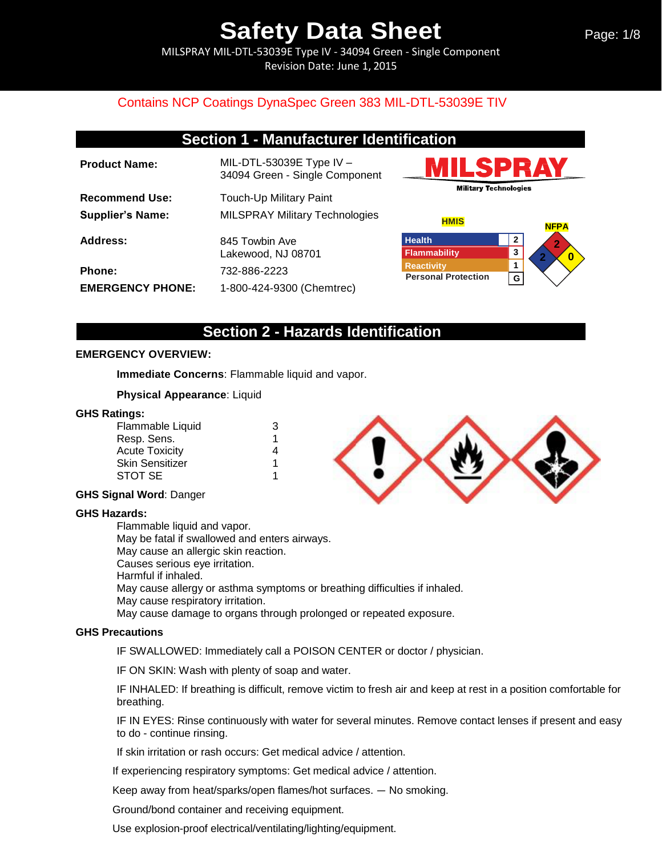MILSPRAY MIL-DTL-53039E Type IV - 34094 Green - Single Component Revision Date: June 1, 2015

## Contains NCP Coatings DynaSpec Green 383 MIL-DTL-53039E TIV

| <b>Section 1 - Manufacturer Identification</b> |                                                              |                                                 |                             |
|------------------------------------------------|--------------------------------------------------------------|-------------------------------------------------|-----------------------------|
| <b>Product Name:</b>                           | MIL-DTL-53039E Type IV $-$<br>34094 Green - Single Component |                                                 | IILSPRAY                    |
| <b>Recommend Use:</b>                          | <b>Touch-Up Military Paint</b>                               | <b>Military Technologies</b>                    |                             |
| <b>Supplier's Name:</b>                        | <b>MILSPRAY Military Technologies</b>                        | <b>HMIS</b>                                     | <b>NFPA</b>                 |
| Address:                                       | 845 Towbin Ave<br>Lakewood, NJ 08701                         | <b>Health</b><br>Flammability                   | $\mathbf{2}$<br>2<br>3<br>0 |
| Phone:                                         | 732-886-2223                                                 | <b>Reactivity</b><br><b>Personal Protection</b> | G                           |
| <b>EMERGENCY PHONE:</b>                        | 1-800-424-9300 (Chemtrec)                                    |                                                 |                             |

## **Section 2 - Hazards Identification**

### **EMERGENCY OVERVIEW:**

**Immediate Concerns**: Flammable liquid and vapor.

### **Physical Appearance**: Liquid

### **GHS Ratings:**

| Flammable Liquid | З |
|------------------|---|
| Resp. Sens.      | 1 |
| Acute Toxicity   | 4 |
| Skin Sensitizer  | 1 |
| STOT SE          |   |

### **GHS Signal Word**: Danger

### **GHS Hazards:**

Flammable liquid and vapor. May be fatal if swallowed and enters airways. May cause an allergic skin reaction. Causes serious eye irritation. Harmful if inhaled. May cause allergy or asthma symptoms or breathing difficulties if inhaled. May cause respiratory irritation. May cause damage to organs through prolonged or repeated exposure.

### **GHS Precautions**

IF SWALLOWED: Immediately call a POISON CENTER or doctor / physician.

IF ON SKIN: Wash with plenty of soap and water.

IF INHALED: If breathing is difficult, remove victim to fresh air and keep at rest in a position comfortable for breathing.

IF IN EYES: Rinse continuously with water for several minutes. Remove contact lenses if present and easy to do - continue rinsing.

If skin irritation or rash occurs: Get medical advice / attention.

If experiencing respiratory symptoms: Get medical advice / attention.

Keep away from heat/sparks/open flames/hot surfaces. — No smoking.

Ground/bond container and receiving equipment.

Use explosion-proof electrical/ventilating/lighting/equipment.

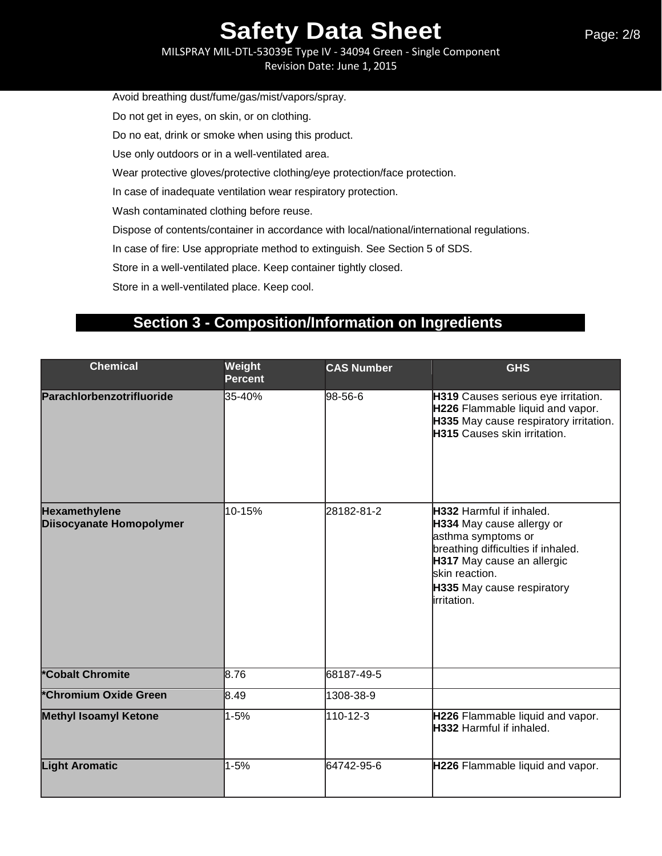MILSPRAY MIL-DTL-53039E Type IV - 34094 Green - Single Component Revision Date: June 1, 2015

Avoid breathing dust/fume/gas/mist/vapors/spray.

Do not get in eyes, on skin, or on clothing.

Do no eat, drink or smoke when using this product.

Use only outdoors or in a well-ventilated area.

Wear protective gloves/protective clothing/eye protection/face protection.

In case of inadequate ventilation wear respiratory protection.

Wash contaminated clothing before reuse.

Dispose of contents/container in accordance with local/national/international regulations.

In case of fire: Use appropriate method to extinguish. See Section 5 of SDS.

Store in a well-ventilated place. Keep container tightly closed.

Store in a well-ventilated place. Keep cool.

# **Section 3 - Composition/Information on Ingredients**

| <b>Chemical</b>                           | Weight<br><b>Percent</b> | <b>CAS Number</b> | <b>GHS</b>                                                                                                                                                                                                      |
|-------------------------------------------|--------------------------|-------------------|-----------------------------------------------------------------------------------------------------------------------------------------------------------------------------------------------------------------|
| Parachlorbenzotrifluoride                 | 35-40%                   | 98-56-6           | H319 Causes serious eye irritation.<br>H226 Flammable liquid and vapor.<br>H335 May cause respiratory irritation.<br><b>H315</b> Causes skin irritation.                                                        |
| Hexamethylene<br>Diisocyanate Homopolymer | 10-15%                   | 28182-81-2        | H332 Harmful if inhaled.<br>H334 May cause allergy or<br>asthma symptoms or<br>breathing difficulties if inhaled.<br>H317 May cause an allergic<br>lskin reaction.<br>H335 May cause respiratory<br>irritation. |
| *Cobalt Chromite                          | 8.76                     | 68187-49-5        |                                                                                                                                                                                                                 |
| *Chromium Oxide Green                     | 8.49                     | 1308-38-9         |                                                                                                                                                                                                                 |
| <b>Methyl Isoamyl Ketone</b>              | $1 - 5%$                 | 110-12-3          | H226 Flammable liquid and vapor.<br>H332 Harmful if inhaled.                                                                                                                                                    |
| <b>Light Aromatic</b>                     | $1 - 5%$                 | 64742-95-6        | H226 Flammable liquid and vapor.                                                                                                                                                                                |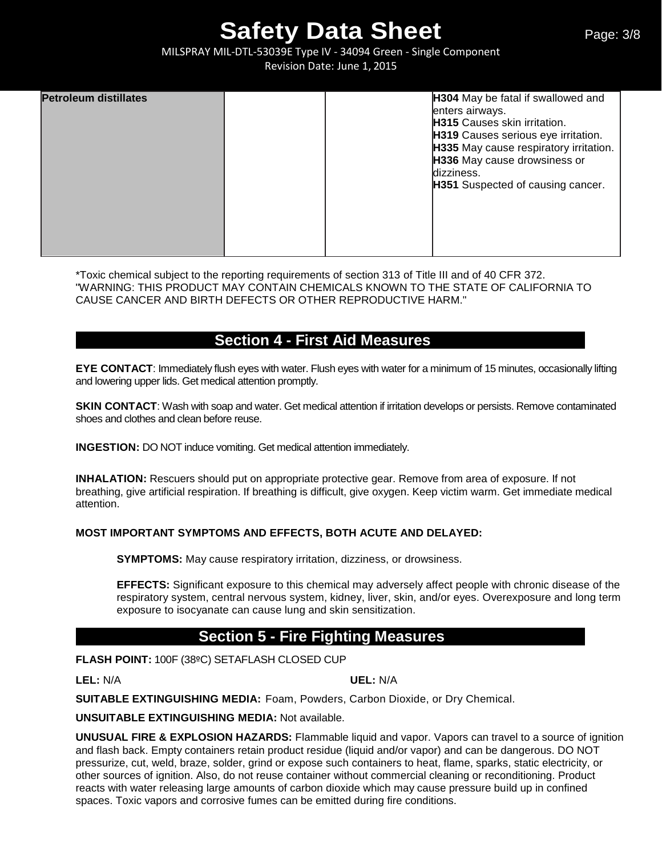MILSPRAY MIL-DTL-53039E Type IV - 34094 Green - Single Component Revision Date: June 1, 2015

| <b>Petroleum distillates</b> |  | H304 May be fatal if swallowed and     |
|------------------------------|--|----------------------------------------|
|                              |  | enters airways.                        |
|                              |  | <b>H315</b> Causes skin irritation.    |
|                              |  | H319 Causes serious eye irritation.    |
|                              |  | H335 May cause respiratory irritation. |
|                              |  | H336 May cause drowsiness or           |
|                              |  | dizziness.                             |
|                              |  | H351 Suspected of causing cancer.      |
|                              |  |                                        |
|                              |  |                                        |
|                              |  |                                        |
|                              |  |                                        |
|                              |  |                                        |

\*Toxic chemical subject to the reporting requirements of section 313 of Title III and of 40 CFR 372. "WARNING: THIS PRODUCT MAY CONTAIN CHEMICALS KNOWN TO THE STATE OF CALIFORNIA TO CAUSE CANCER AND BIRTH DEFECTS OR OTHER REPRODUCTIVE HARM."

# **Section 4 - First Aid Measures**

**EYE CONTACT:** Immediately flush eyes with water. Flush eyes with water for a minimum of 15 minutes, occasionally lifting and lowering upper lids. Get medical attention promptly.

**SKIN CONTACT:** Wash with soap and water. Get medical attention if irritation develops or persists. Remove contaminated shoes and clothes and clean before reuse.

**INGESTION:** DO NOT induce vomiting. Get medical attention immediately.

**INHALATION:** Rescuers should put on appropriate protective gear. Remove from area of exposure. If not breathing, give artificial respiration. If breathing is difficult, give oxygen. Keep victim warm. Get immediate medical attention.

### **MOST IMPORTANT SYMPTOMS AND EFFECTS, BOTH ACUTE AND DELAYED:**

**SYMPTOMS:** May cause respiratory irritation, dizziness, or drowsiness.

**EFFECTS:** Significant exposure to this chemical may adversely affect people with chronic disease of the respiratory system, central nervous system, kidney, liver, skin, and/or eyes. Overexposure and long term exposure to isocyanate can cause lung and skin sensitization.

# **Section 5 - Fire Fighting Measures**

**FLASH POINT:** 100F (38ºC) SETAFLASH CLOSED CUP

**LEL:** N/A **UEL:** N/A

**SUITABLE EXTINGUISHING MEDIA:** Foam, Powders, Carbon Dioxide, or Dry Chemical.

**UNSUITABLE EXTINGUISHING MEDIA:** Not available.

**UNUSUAL FIRE & EXPLOSION HAZARDS:** Flammable liquid and vapor. Vapors can travel to a source of ignition and flash back. Empty containers retain product residue (liquid and/or vapor) and can be dangerous. DO NOT pressurize, cut, weld, braze, solder, grind or expose such containers to heat, flame, sparks, static electricity, or other sources of ignition. Also, do not reuse container without commercial cleaning or reconditioning. Product reacts with water releasing large amounts of carbon dioxide which may cause pressure build up in confined spaces. Toxic vapors and corrosive fumes can be emitted during fire conditions.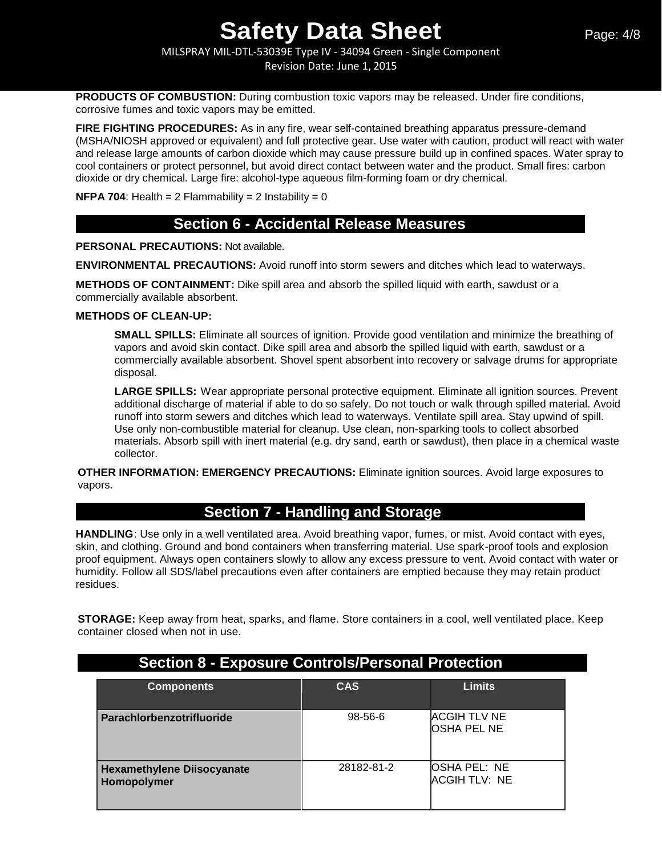MILSPRAY MIL-DTL-53039E Type IV - 34094 Green - Single Component Revision Date: June 1, 2015

**PRODUCTS OF COMBUSTION:** During combustion toxic vapors may be released. Under fire conditions, corrosive fumes and toxic vapors may be emitted.

**FIRE FIGHTING PROCEDURES:** As in any fire, wear self-contained breathing apparatus pressure-demand (MSHA/NIOSH approved or equivalent) and full protective gear. Use water with caution, product will react with water and release large amounts of carbon dioxide which may cause pressure build up in confined spaces. Water spray to cool containers or protect personnel, but avoid direct contact between water and the product. Small fires: carbon dioxide or dry chemical. Large fire: alcohol-type aqueous film-forming foam or dry chemical.

**NFPA 704:** Health =  $2$  Flammability =  $2$  Instability =  $0$ 

## **Section 6 - Accidental Release Measures**

**PERSONAL PRECAUTIONS:** Not available.

**ENVIRONMENTAL PRECAUTIONS:** Avoid runoff into storm sewers and ditches which lead to waterways.

**METHODS OF CONTAINMENT:** Dike spill area and absorb the spilled liquid with earth, sawdust or a commercially available absorbent.

#### **METHODS OF CLEAN-UP:**

**SMALL SPILLS:** Eliminate all sources of ignition. Provide good ventilation and minimize the breathing of vapors and avoid skin contact. Dike spill area and absorb the spilled liquid with earth, sawdust or a commercially available absorbent. Shovel spent absorbent into recovery or salvage drums for appropriate disposal.

**LARGE SPILLS:** Wear appropriate personal protective equipment. Eliminate all ignition sources. Prevent additional discharge of material if able to do so safely. Do not touch or walk through spilled material. Avoid runoff into storm sewers and ditches which lead to waterways. Ventilate spill area. Stay upwind of spill. Use only non-combustible material for cleanup. Use clean, non-sparking tools to collect absorbed materials. Absorb spill with inert material (e.g. dry sand, earth or sawdust), then place in a chemical waste collector.

**OTHER INFORMATION: EMERGENCY PRECAUTIONS:** Eliminate ignition sources. Avoid large exposures to vapors.

# **Section 7 - Handling and Storage**

**HANDLING**: Use only in a well ventilated area. Avoid breathing vapor, fumes, or mist. Avoid contact with eyes, skin, and clothing. Ground and bond containers when transferring material. Use spark-proof tools and explosion proof equipment. Always open containers slowly to allow any excess pressure to vent. Avoid contact with water or humidity. Follow all SDS/label precautions even after containers are emptied because they may retain product residues.

**STORAGE:** Keep away from heat, sparks, and flame. Store containers in a cool, well ventilated place. Keep container closed when not in use.

| <b>Components</b>                         | <b>CAS</b> | <b>Limits</b>                               |
|-------------------------------------------|------------|---------------------------------------------|
| Parachlorbenzotrifluoride                 | 98-56-6    | <b>ACGIH TLV NE</b><br><b>OSHA PEL NE</b>   |
| Hexamethylene Diisocyanate<br>Homopolymer | 28182-81-2 | <b>OSHA PEL: NE</b><br><b>ACGIH TLV: NE</b> |

# **Section 8 - Exposure Controls/Personal Protection**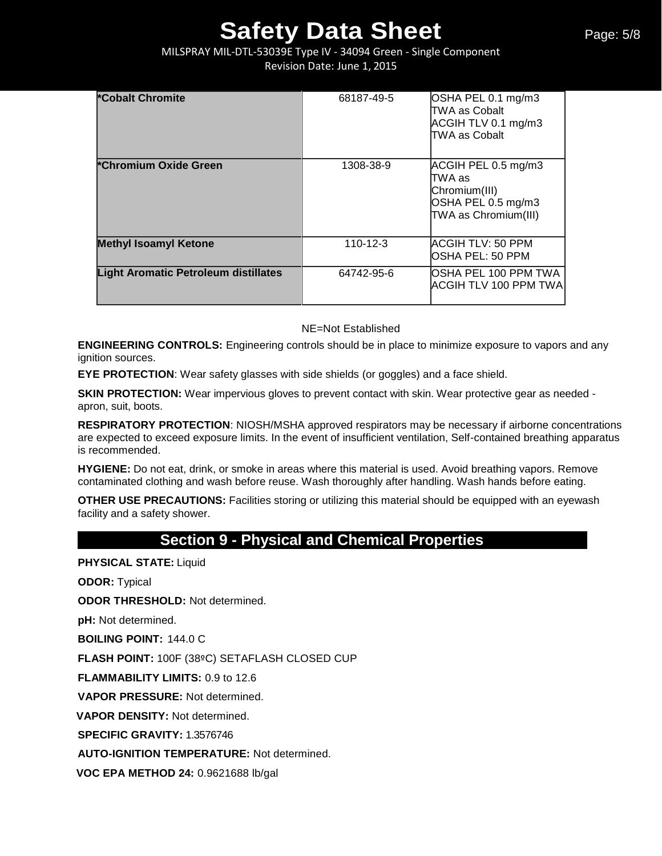MILSPRAY MIL-DTL-53039E Type IV - 34094 Green - Single Component Revision Date: June 1, 2015

| <b>*Cobalt Chromite</b>                     | 68187-49-5     | OSHA PEL 0.1 mg/m3<br>ITWA as Cobalt<br>ACGIH TLV 0.1 mg/m3<br>TWA as Cobalt                  |
|---------------------------------------------|----------------|-----------------------------------------------------------------------------------------------|
| *Chromium Oxide Green                       | 1308-38-9      | ACGIH PEL 0.5 mg/m3<br>ITWA as<br>Chromium(III)<br>OSHA PEL 0.5 mg/m3<br>TWA as Chromium(III) |
| <b>Methyl Isoamyl Ketone</b>                | $110 - 12 - 3$ | ACGIH TLV: 50 PPM<br>IOSHA PEL: 50 PPM                                                        |
| <b>Light Aromatic Petroleum distillates</b> | 64742-95-6     | OSHA PEL 100 PPM TWA<br><b>ACGIH TLV 100 PPM TWA</b>                                          |

NE=Not Established

**ENGINEERING CONTROLS:** Engineering controls should be in place to minimize exposure to vapors and any ignition sources.

**EYE PROTECTION**: Wear safety glasses with side shields (or goggles) and a face shield.

**SKIN PROTECTION:** Wear impervious gloves to prevent contact with skin. Wear protective gear as needed apron, suit, boots.

**RESPIRATORY PROTECTION**: NIOSH/MSHA approved respirators may be necessary if airborne concentrations are expected to exceed exposure limits. In the event of insufficient ventilation, Self-contained breathing apparatus is recommended.

**HYGIENE:** Do not eat, drink, or smoke in areas where this material is used. Avoid breathing vapors. Remove contaminated clothing and wash before reuse. Wash thoroughly after handling. Wash hands before eating.

**OTHER USE PRECAUTIONS:** Facilities storing or utilizing this material should be equipped with an eyewash facility and a safety shower.

# **Section 9 - Physical and Chemical Properties**

**PHYSICAL STATE:** Liquid

**ODOR:** Typical

**ODOR THRESHOLD:** Not determined.

**pH:** Not determined.

**BOILING POINT:** 144.0 C

**FLASH POINT:** 100F (38ºC) SETAFLASH CLOSED CUP

**FLAMMABILITY LIMITS:** 0.9 to 12.6

**VAPOR PRESSURE:** Not determined.

**VAPOR DENSITY:** Not determined.

**SPECIFIC GRAVITY:** 1.3576746

**AUTO-IGNITION TEMPERATURE:** Not determined.

**VOC EPA METHOD 24:** 0.9621688 lb/gal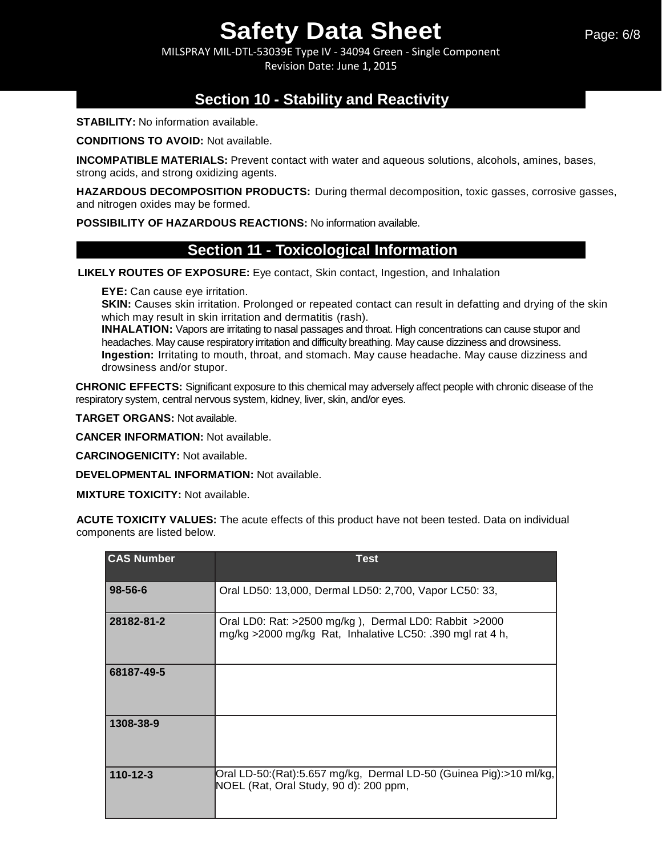MILSPRAY MIL-DTL-53039E Type IV - 34094 Green - Single Component Revision Date: June 1, 2015

# **Section 10 - Stability and Reactivity**

**STABILITY:** No information available.

**CONDITIONS TO AVOID:** Not available.

**INCOMPATIBLE MATERIALS:** Prevent contact with water and aqueous solutions, alcohols, amines, bases, strong acids, and strong oxidizing agents.

**HAZARDOUS DECOMPOSITION PRODUCTS:** During thermal decomposition, toxic gasses, corrosive gasses, and nitrogen oxides may be formed.

**POSSIBILITY OF HAZARDOUS REACTIONS:** No information available.

## **Section 11 - Toxicological Information**

**LIKELY ROUTES OF EXPOSURE:** Eye contact, Skin contact, Ingestion, and Inhalation

**EYE:** Can cause eye irritation.

**SKIN:** Causes skin irritation. Prolonged or repeated contact can result in defatting and drying of the skin which may result in skin irritation and dermatitis (rash).

**INHALATION:** Vapors are irritating to nasal passages and throat. High concentrations can cause stupor and headaches. May cause respiratory irritation and difficulty breathing. May cause dizziness and drowsiness. **Ingestion:** Irritating to mouth, throat, and stomach. May cause headache. May cause dizziness and drowsiness and/or stupor.

**CHRONIC EFFECTS:** Significant exposure to this chemical may adversely affect people with chronic disease of the respiratory system, central nervous system, kidney, liver, skin, and/or eyes.

**TARGET ORGANS:** Not available.

**CANCER INFORMATION:** Not available.

**CARCINOGENICITY:** Not available.

**DEVELOPMENTAL INFORMATION:** Not available.

**MIXTURE TOXICITY:** Not available.

**ACUTE TOXICITY VALUES:** The acute effects of this product have not been tested. Data on individual components are listed below.

| <b>CAS Number</b> | <b>Test</b>                                                                                                        |
|-------------------|--------------------------------------------------------------------------------------------------------------------|
| $98 - 56 - 6$     | Oral LD50: 13,000, Dermal LD50: 2,700, Vapor LC50: 33,                                                             |
| 28182-81-2        | Oral LD0: Rat: >2500 mg/kg), Dermal LD0: Rabbit >2000<br>mg/kg >2000 mg/kg Rat, Inhalative LC50: .390 mgl rat 4 h, |
| 68187-49-5        |                                                                                                                    |
| 1308-38-9         |                                                                                                                    |
| $110 - 12 - 3$    | Oral LD-50:(Rat):5.657 mg/kg, Dermal LD-50 (Guinea Pig):>10 ml/kg,<br>NOEL (Rat, Oral Study, 90 d): 200 ppm,       |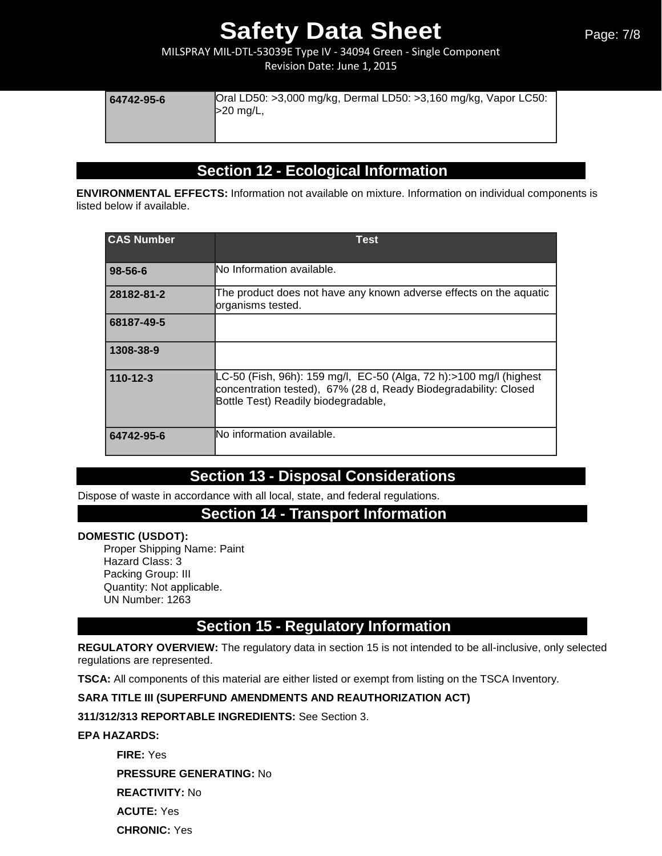MILSPRAY MIL-DTL-53039E Type IV - 34094 Green - Single Component Revision Date: June 1, 2015

| 64742-95-6 | Oral LD50: >3,000 mg/kg, Dermal LD50: >3,160 mg/kg, Vapor LC50:<br>$>20$ mg/L, |
|------------|--------------------------------------------------------------------------------|
|------------|--------------------------------------------------------------------------------|

# **Section 12 - Ecological Information**

**ENVIRONMENTAL EFFECTS:** Information not available on mixture. Information on individual components is listed below if available.

| <b>CAS Number</b> | Test                                                                                                                                                                          |
|-------------------|-------------------------------------------------------------------------------------------------------------------------------------------------------------------------------|
| $98 - 56 - 6$     | No Information available.                                                                                                                                                     |
| 28182-81-2        | The product does not have any known adverse effects on the aquatic<br>organisms tested.                                                                                       |
| 68187-49-5        |                                                                                                                                                                               |
| 1308-38-9         |                                                                                                                                                                               |
| $110 - 12 - 3$    | LC-50 (Fish, 96h): 159 mg/l, EC-50 (Alga, 72 h):>100 mg/l (highest<br>concentration tested), 67% (28 d, Ready Biodegradability: Closed<br>Bottle Test) Readily biodegradable, |
| 64742-95-6        | lNo information available.                                                                                                                                                    |

# **Section 13 - Disposal Considerations**

Dispose of waste in accordance with all local, state, and federal regulations.

## **Section 14 - Transport Information**

## **DOMESTIC (USDOT):**

Proper Shipping Name: Paint Hazard Class: 3 Packing Group: III Quantity: Not applicable. UN Number: 1263

# **Section 15 - Regulatory Information**

**REGULATORY OVERVIEW:** The regulatory data in section 15 is not intended to be all-inclusive, only selected regulations are represented.

**TSCA:** All components of this material are either listed or exempt from listing on the TSCA Inventory.

## **SARA TITLE III (SUPERFUND AMENDMENTS AND REAUTHORIZATION ACT)**

**311/312/313 REPORTABLE INGREDIENTS:** See Section 3.

### **EPA HAZARDS:**

**FIRE:** Yes **PRESSURE GENERATING:** No **REACTIVITY:** No **ACUTE:** Yes **CHRONIC:** Yes